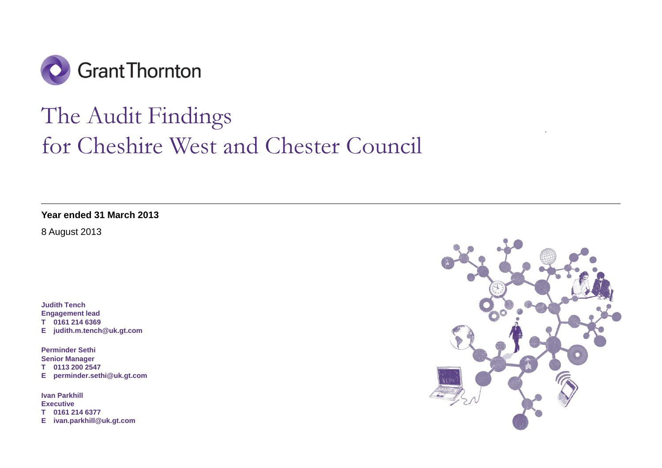

# The Audit Findings for Cheshire West and Chester Council

**Year ended 31 March 2013** 

8 August 2013

**Judith Tench Engagement lead T 0161 214 6369 E judith.m.tench@uk.gt.com** 

**Perminder Sethi Senior Manager T 0113 200 2547 E perminder.sethi@uk.gt.com** 

**Ivan Parkhill Executive T 0161 214 6377 E ivan.parkhill@uk.gt.com** 

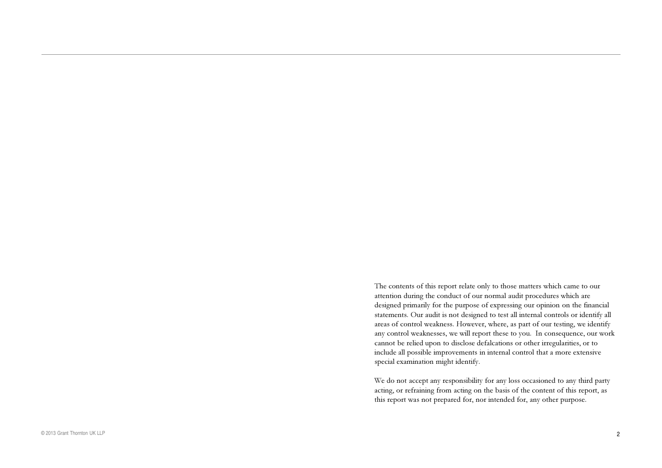The contents of this repor<sup>t</sup> relate only to those matters which came to our attention during the conduct of our normal audit procedures which are designed primarily for the purpose of expressing our opinion on the financial statements. Our audit is not designed to test all internal controls or identify all areas of control weakness. However, where, as par<sup>t</sup> of our testing, we identify any control weaknesses, we will repor<sup>t</sup> these to you. In consequence, our work cannot be relied upon to disclose defalcations or other irregularities, or to include all possible improvements in internal control that a more extensive special examination might identify.

We do not accep<sup>t</sup> any responsibility for any loss occasioned to any third party acting, or refraining from acting on the basis of the content of this report, as this repor<sup>t</sup> was not prepared for, nor intended for, any other purpose.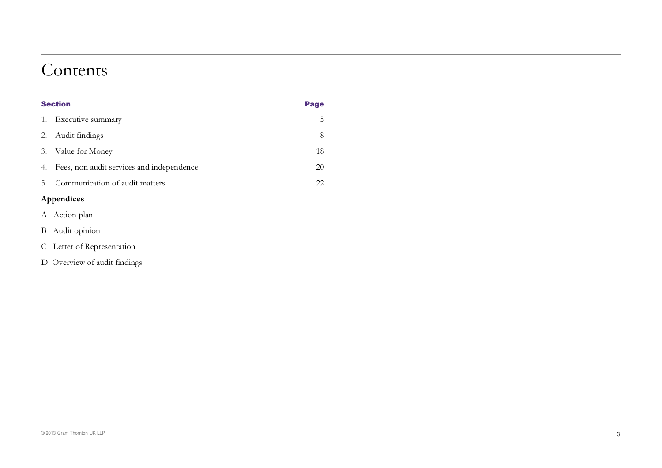### Contents

|    | <b>Section</b>                            |    |
|----|-------------------------------------------|----|
| 1. | Executive summary                         | C  |
| 2. | Audit findings                            | 8  |
| 3. | Value for Money                           | 18 |
| 4. | Fees, non audit services and independence | 20 |
| 5. | Communication of audit matters            | 22 |
|    | $\lambda$ musicalized                     |    |

### Appendices

- A Action plan
- <sup>B</sup> Audit opinion
- C Letter of Representation
- D Overview of audit findings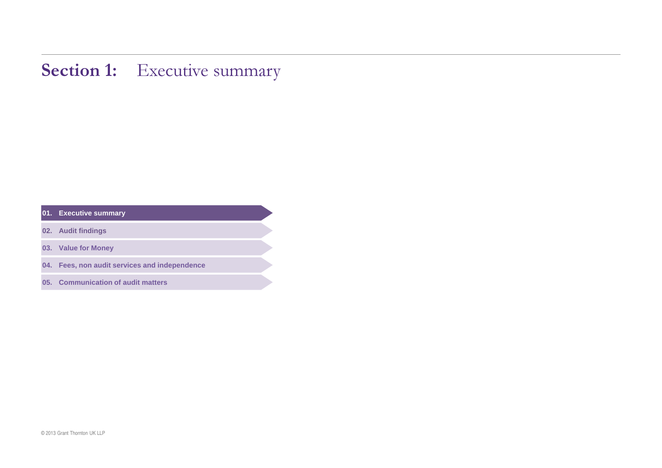### **Section 1:** Executive summary

| 01. | <b>Executive summary</b> |
|-----|--------------------------|
|     |                          |

- **. Audit findings**
- **. Value for Money**
- **. Fees, non audit services and independence**
- **. Communication of audit matters**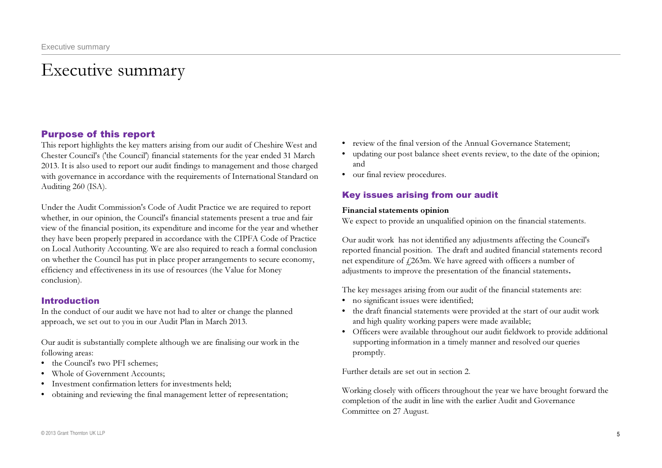# Executive summary

### Purpose of this report

This report highlights the key matters arising from our audit of Cheshire West and Chester Council's ('the Council') financial statements for the year ended 31 March 2013. It is also used to report our audit findings to management and those charged with governance in accordance with the requirements of International Standard on Auditing 260 (ISA).

Under the Audit Commission's Code of Audit Practice we are required to report whether, in our opinion, the Council's financial statements present a true and fair view of the financial position, its expenditure and income for the year and whether they have been properly prepared in accordance with the CIPFA Code of Practice on Local Authority Accounting. We are also required to reach a formal conclusion on whether the Council has put in place proper arrangements to secure economy, efficiency and effectiveness in its use of resources (the Value for Money conclusion).

### Introduction

In the conduct of our audit we have not had to alter or change the planned approach, we set out to you in our Audit Plan in March 2013.

Our audit is substantially complete although we are finalising our work in the following areas:

- • the Council's two PFI schemes;
- • Whole of Government Accounts;
- Investment confirmation letters for investments held;
- obtaining and reviewing the final management letter of representation;
- • review of the final version of the Annual Governance Statement;
- updating our post balance sheet events review, to the date of the opinion; and
- our final review procedures.

### Key issues arising from our audit

### Financial statements opinion

We expect to provide an unqualified opinion on the financial statements.

Our audit work has not identified any adjustments affecting the Council's reported financial position. The draft and audited financial statements record net expenditure of £263m. We have agreed with officers a number of adjustments to improve the presentation of the financial statements.

The key messages arising from our audit of the financial statements are:

- no significant issues were identified;
- the draft financial statements were provided at the start of our audit work and high quality working papers were made available;
- • Officers were available throughout our audit fieldwork to provide additional supporting information in a timely manner and resolved our queries promptly.

Further details are set out in section 2.

Working closely with officers throughout the year we have brought forward the completion of the audit in line with the earlier Audit and Governance Committee on 27 August.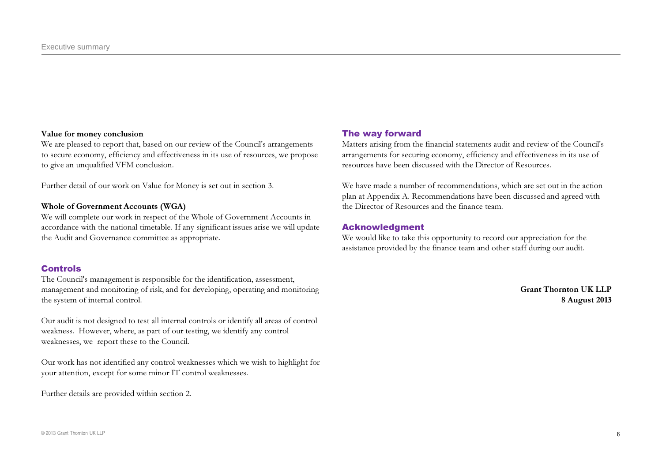#### Value for money conclusion

We are pleased to report that, based on our review of the Council's arrangements to secure economy, efficiency and effectiveness in its use of resources, we propose to give an unqualified VFM conclusion.

Further detail of our work on Value for Money is set out in section 3.

### Whole of Government Accounts (WGA)

We will complete our work in respect of the Whole of Government Accounts in accordance with the national timetable. If any significant issues arise we will update the Audit and Governance committee as appropriate.

### Controls

The Council's management is responsible for the identification, assessment, management and monitoring of risk, and for developing, operating and monitoring the system of internal control.

Our audit is not designed to test all internal controls or identify all areas of control weakness. However, where, as part of our testing, we identify any control weaknesses, we report these to the Council.

Our work has not identified any control weaknesses which we wish to highlight for your attention, except for some minor IT control weaknesses.

Further details are provided within section 2.

### The way forward

Matters arising from the financial statements audit and review of the Council's arrangements for securing economy, efficiency and effectiveness in its use of resources have been discussed with the Director of Resources.

We have made a number of recommendations, which are set out in the action plan at Appendix A. Recommendations have been discussed and agreed with the Director of Resources and the finance team.

### Acknowledgment

We would like to take this opportunity to record our appreciation for the assistance provided by the finance team and other staff during our audit.

> Grant Thornton UK LLP8 August 2013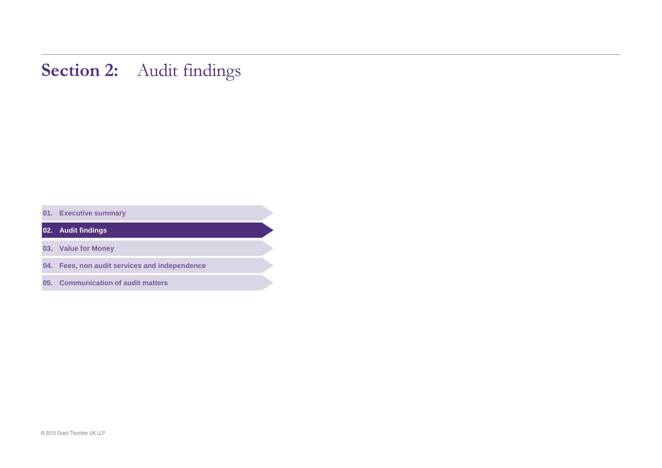## Section 2: Audit findings

**. Executive summary** 

**. Audit findings** 

**. Value for Money** 

**. Fees, non audit services and independence** 

**. Communication of audit matters**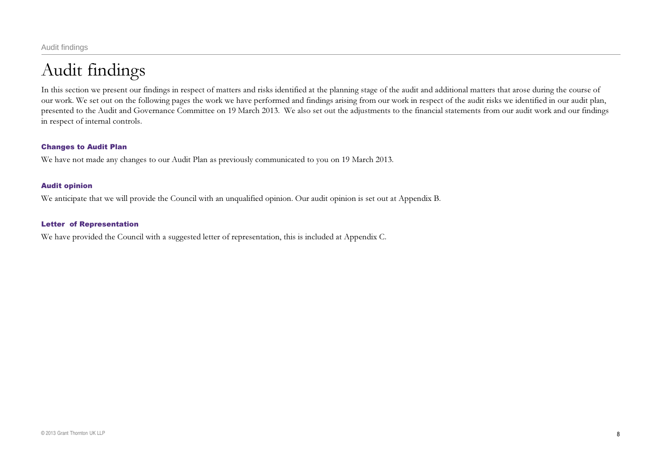# Audit findings

In this section we present our findings in respect of matters and risks identified at the planning stage of the audit and additional matters that arose during the course of our work. We set out on the following pages the work we have performed and findings arising from our work in respect of the audit risks we identified in our audit plan, presented to the Audit and Governance Committee on 19 March 2013. We also set out the adjustments to the financial statements from our audit work and our findings in respect of internal controls.

### Changes to Audit Plan

We have not made any changes to our Audit Plan as previously communicated to you on 19 March 2013.

### Audit opinion

We anticipate that we will provide the Council with an unqualified opinion. Our audit opinion is set out at Appendix B.

#### Letter of Representation

We have provided the Council with a suggested letter of representation, this is included at Appendix C.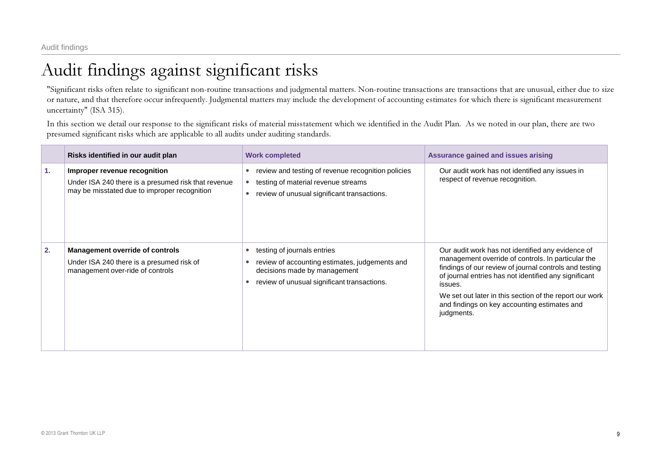# Audit findings against significant risks

"Significant risks often relate to significant non-routine transactions and judgmental matters. Non-routine transactions are transactions that are unusual, either due to size or nature, and that therefore occur infrequently. Judgmental matters may include the development of accounting estimates for which there is significant measurement uncertainty" (ISA 315).

In this section we detail our response to the significant risks of material misstatement which we identified in the Audit Plan. As we noted in our plan, there are two presumed significant risks which are applicable to all audits under auditing standards.

|    | Risks identified in our audit plan                                                                                                  | <b>Work completed</b>                                                                                                                                        | <b>Assurance gained and issues arising</b>                                                                                                                                                                                                                                                                                                                     |
|----|-------------------------------------------------------------------------------------------------------------------------------------|--------------------------------------------------------------------------------------------------------------------------------------------------------------|----------------------------------------------------------------------------------------------------------------------------------------------------------------------------------------------------------------------------------------------------------------------------------------------------------------------------------------------------------------|
| 1. | Improper revenue recognition<br>Under ISA 240 there is a presumed risk that revenue<br>may be misstated due to improper recognition | review and testing of revenue recognition policies<br>testing of material revenue streams<br>review of unusual significant transactions.                     | Our audit work has not identified any issues in<br>respect of revenue recognition.                                                                                                                                                                                                                                                                             |
| 2. | <b>Management override of controls</b><br>Under ISA 240 there is a presumed risk of<br>management over-ride of controls             | testing of journals entries<br>review of accounting estimates, judgements and<br>decisions made by management<br>review of unusual significant transactions. | Our audit work has not identified any evidence of<br>management override of controls. In particular the<br>findings of our review of journal controls and testing<br>of journal entries has not identified any significant<br>issues.<br>We set out later in this section of the report our work<br>and findings on key accounting estimates and<br>judgments. |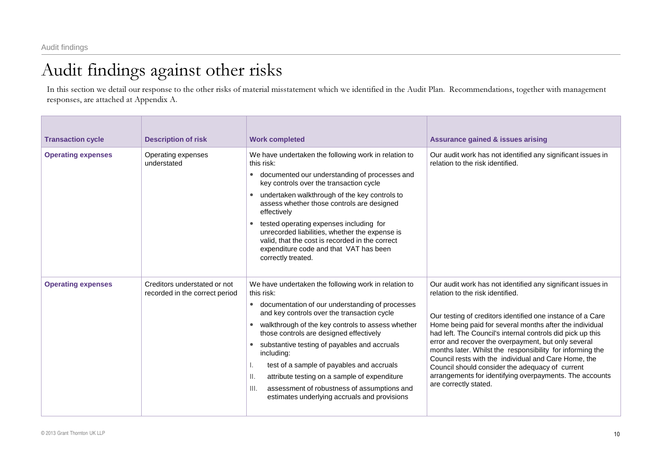In this section we detail our response to the other risks of material misstatement which we identified in the Audit Plan. Recommendations, together with management responses, are attached at Appendix A.

| <b>Transaction cycle</b>  | <b>Description of risk</b>                                     | <b>Work completed</b>                                                                                                                                                                                                                                                                                                                                                                                                                                                                                                                                                        | <b>Assurance gained &amp; issues arising</b>                                                                                                                                                                                                                                                                                                                                                                                                                                                                                                                                                              |
|---------------------------|----------------------------------------------------------------|------------------------------------------------------------------------------------------------------------------------------------------------------------------------------------------------------------------------------------------------------------------------------------------------------------------------------------------------------------------------------------------------------------------------------------------------------------------------------------------------------------------------------------------------------------------------------|-----------------------------------------------------------------------------------------------------------------------------------------------------------------------------------------------------------------------------------------------------------------------------------------------------------------------------------------------------------------------------------------------------------------------------------------------------------------------------------------------------------------------------------------------------------------------------------------------------------|
| <b>Operating expenses</b> | Operating expenses<br>understated                              | We have undertaken the following work in relation to<br>this risk:<br>documented our understanding of processes and<br>$\bullet$<br>key controls over the transaction cycle<br>undertaken walkthrough of the key controls to<br>$\bullet$<br>assess whether those controls are designed<br>effectively<br>tested operating expenses including for<br>unrecorded liabilities, whether the expense is<br>valid, that the cost is recorded in the correct<br>expenditure code and that VAT has been<br>correctly treated.                                                       | Our audit work has not identified any significant issues in<br>relation to the risk identified.                                                                                                                                                                                                                                                                                                                                                                                                                                                                                                           |
| <b>Operating expenses</b> | Creditors understated or not<br>recorded in the correct period | We have undertaken the following work in relation to<br>this risk:<br>documentation of our understanding of processes<br>$\bullet$<br>and key controls over the transaction cycle<br>walkthrough of the key controls to assess whether<br>٠<br>those controls are designed effectively<br>substantive testing of payables and accruals<br>$\bullet$<br>including:<br>test of a sample of payables and accruals<br>ΙΙ.<br>attribute testing on a sample of expenditure<br>assessment of robustness of assumptions and<br>III.<br>estimates underlying accruals and provisions | Our audit work has not identified any significant issues in<br>relation to the risk identified.<br>Our testing of creditors identified one instance of a Care<br>Home being paid for several months after the individual<br>had left. The Council's internal controls did pick up this<br>error and recover the overpayment, but only several<br>months later. Whilst the responsibility for informing the<br>Council rests with the individual and Care Home, the<br>Council should consider the adequacy of current<br>arrangements for identifying overpayments. The accounts<br>are correctly stated. |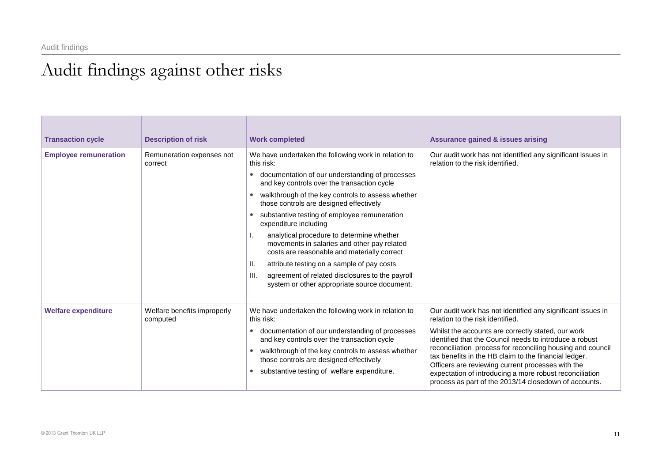| <b>Transaction cycle</b>     | <b>Description of risk</b>              | <b>Work completed</b>                                                                                                                                                                                                                                                                                                                                                                                                                                                                                                                                                                                                | <b>Assurance gained &amp; issues arising</b>                                                                                                                                                                                                                                                                                                                                                                                                                                                                     |
|------------------------------|-----------------------------------------|----------------------------------------------------------------------------------------------------------------------------------------------------------------------------------------------------------------------------------------------------------------------------------------------------------------------------------------------------------------------------------------------------------------------------------------------------------------------------------------------------------------------------------------------------------------------------------------------------------------------|------------------------------------------------------------------------------------------------------------------------------------------------------------------------------------------------------------------------------------------------------------------------------------------------------------------------------------------------------------------------------------------------------------------------------------------------------------------------------------------------------------------|
| <b>Employee remuneration</b> | Remuneration expenses not<br>correct    | We have undertaken the following work in relation to<br>this risk:<br>documentation of our understanding of processes<br>and key controls over the transaction cycle<br>walkthrough of the key controls to assess whether<br>$\bullet$<br>those controls are designed effectively<br>substantive testing of employee remuneration<br>expenditure including<br>analytical procedure to determine whether<br>movements in salaries and other pay related<br>costs are reasonable and materially correct<br>attribute testing on a sample of pay costs<br>Ш.<br>III.<br>agreement of related disclosures to the payroll | Our audit work has not identified any significant issues in<br>relation to the risk identified.                                                                                                                                                                                                                                                                                                                                                                                                                  |
|                              |                                         | system or other appropriate source document.                                                                                                                                                                                                                                                                                                                                                                                                                                                                                                                                                                         |                                                                                                                                                                                                                                                                                                                                                                                                                                                                                                                  |
| <b>Welfare expenditure</b>   | Welfare benefits improperly<br>computed | We have undertaken the following work in relation to<br>this risk:<br>documentation of our understanding of processes<br>and key controls over the transaction cycle<br>walkthrough of the key controls to assess whether<br>those controls are designed effectively<br>substantive testing of welfare expenditure.                                                                                                                                                                                                                                                                                                  | Our audit work has not identified any significant issues in<br>relation to the risk identified.<br>Whilst the accounts are correctly stated, our work<br>identified that the Council needs to introduce a robust<br>reconciliation process for reconciling housing and council<br>tax benefits in the HB claim to the financial ledger.<br>Officers are reviewing current processes with the<br>expectation of introducing a more robust reconciliation<br>process as part of the 2013/14 closedown of accounts. |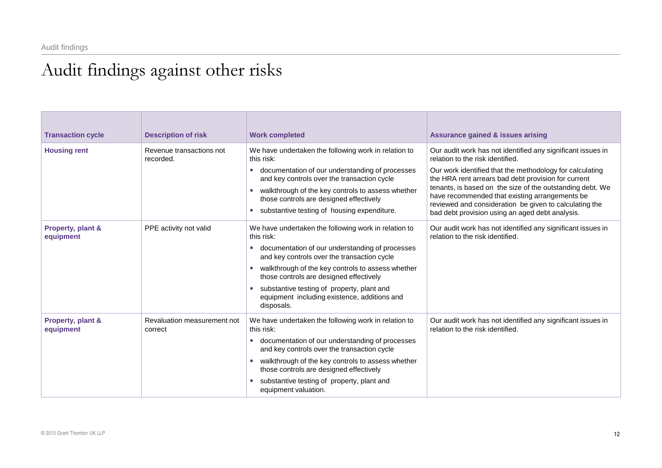| <b>Transaction cycle</b>       | <b>Description of risk</b>             | <b>Work completed</b>                                                                                                                                                                                                                                                                                                                                                                         | <b>Assurance gained &amp; issues arising</b>                                                                                                                                                                                                                                                                                                                                                                                                   |
|--------------------------------|----------------------------------------|-----------------------------------------------------------------------------------------------------------------------------------------------------------------------------------------------------------------------------------------------------------------------------------------------------------------------------------------------------------------------------------------------|------------------------------------------------------------------------------------------------------------------------------------------------------------------------------------------------------------------------------------------------------------------------------------------------------------------------------------------------------------------------------------------------------------------------------------------------|
| <b>Housing rent</b>            | Revenue transactions not<br>recorded.  | We have undertaken the following work in relation to<br>this risk:<br>documentation of our understanding of processes<br>and key controls over the transaction cycle<br>walkthrough of the key controls to assess whether<br>$\bullet$<br>those controls are designed effectively<br>substantive testing of housing expenditure.                                                              | Our audit work has not identified any significant issues in<br>relation to the risk identified.<br>Our work identified that the methodology for calculating<br>the HRA rent arrears bad debt provision for current<br>tenants, is based on the size of the outstanding debt. We<br>have recommended that existing arrangements be<br>reviewed and consideration be given to calculating the<br>bad debt provision using an aged debt analysis. |
| Property, plant &<br>equipment | PPE activity not valid                 | We have undertaken the following work in relation to<br>this risk:<br>documentation of our understanding of processes<br>$\bullet$<br>and key controls over the transaction cycle<br>walkthrough of the key controls to assess whether<br>those controls are designed effectively<br>substantive testing of property, plant and<br>equipment including existence, additions and<br>disposals. | Our audit work has not identified any significant issues in<br>relation to the risk identified.                                                                                                                                                                                                                                                                                                                                                |
| Property, plant &<br>equipment | Revaluation measurement not<br>correct | We have undertaken the following work in relation to<br>this risk:<br>documentation of our understanding of processes<br>and key controls over the transaction cycle<br>walkthrough of the key controls to assess whether<br>those controls are designed effectively<br>substantive testing of property, plant and<br>equipment valuation.                                                    | Our audit work has not identified any significant issues in<br>relation to the risk identified.                                                                                                                                                                                                                                                                                                                                                |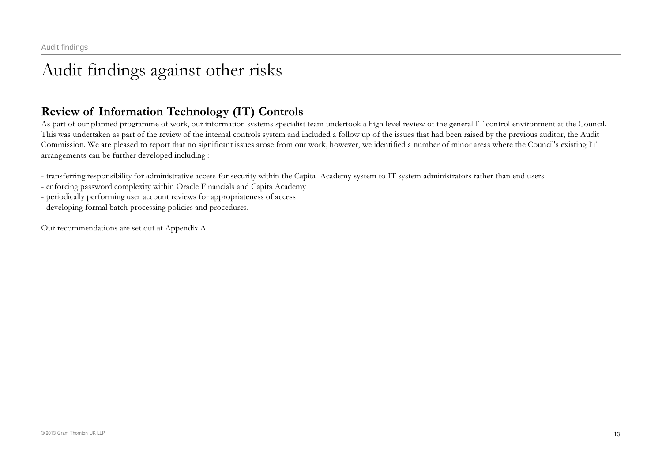### Review of Information Technology (IT) Controls

As part of our planned programme of work, our information systems specialist team undertook <sup>a</sup> high level review of the general IT control environment at the Council. This was undertaken as part of the review of the internal controls system and included a follow up of the issues that had been raised by the previous auditor, the Audit Commission. We are pleased to report that no significant issues arose from our work, however, we identified a number of minor areas where the Council's existing IT arrangements can be further developed including :

transferring responsibility for administrative access for security within the Capita Academy system to IT system administrators rather than end users

enforcing password complexity within Oracle Financials and Capita Academy

periodically performing user account reviews for appropriateness of access

developing formal batch processing policies and procedures.

Our recommendations are set out at Appendix A.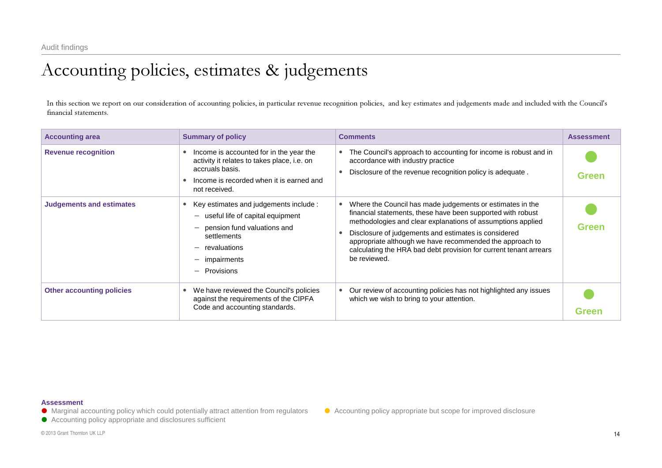# Accounting policies, estimates & judgements

In this section we repor<sup>t</sup> on our consideration of accounting policies, in particular revenue recognition policies, and key estimates and judgements made and included with the Council's financial statements.

| <b>Accounting area</b>           | <b>Summary of policy</b>                                                                                                                                               | <b>Comments</b>                                                                                                                                                                                                                                                                                                                                                                                  | <b>Assessment</b> |
|----------------------------------|------------------------------------------------------------------------------------------------------------------------------------------------------------------------|--------------------------------------------------------------------------------------------------------------------------------------------------------------------------------------------------------------------------------------------------------------------------------------------------------------------------------------------------------------------------------------------------|-------------------|
| <b>Revenue recognition</b>       | Income is accounted for in the year the<br>activity it relates to takes place, i.e. on<br>accruals basis.<br>Income is recorded when it is earned and<br>not received. | The Council's approach to accounting for income is robust and in<br>٠<br>accordance with industry practice<br>Disclosure of the revenue recognition policy is adequate.<br>$\bullet$                                                                                                                                                                                                             | <b>Green</b>      |
| <b>Judgements and estimates</b>  | Key estimates and judgements include :<br>useful life of capital equipment<br>pension fund valuations and<br>settlements<br>revaluations<br>impairments<br>Provisions  | Where the Council has made judgements or estimates in the<br>financial statements, these have been supported with robust<br>methodologies and clear explanations of assumptions applied<br>Disclosure of judgements and estimates is considered<br>appropriate although we have recommended the approach to<br>calculating the HRA bad debt provision for current tenant arrears<br>be reviewed. | Green             |
| <b>Other accounting policies</b> | We have reviewed the Council's policies<br>against the requirements of the CIPFA<br>Code and accounting standards.                                                     | Our review of accounting policies has not highlighted any issues<br>which we wish to bring to your attention.                                                                                                                                                                                                                                                                                    | Green             |

#### **Assessment**

- Marginal accounting policy which could potentially attract attention from regulators Accounting policy appropriate but scope for improved disclosure
- Accounting policy appropriate and disclosures sufficient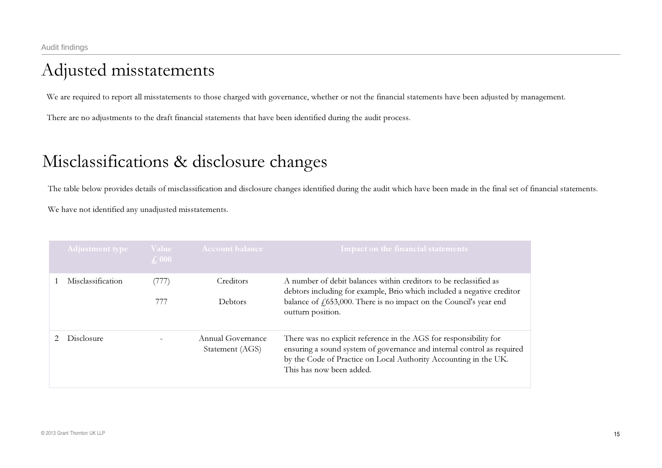# Adjusted misstatements

We are required to report all misstatements to those charged with governance, whether or not the financial statements have been adjusted by management.

There are no adjustments to the draft financial statements that have been identified during the audit process.

## Misclassifications & disclosure changes

The table below provides details of misclassification and disclosure changes identified during the audit which have been made in the final set of financial statements.

We have not identified any unadjusted misstatements.

| Adjustment type   | Value<br>$\int$ , 000 | <b>Account balance</b>               | Impact on the financial statements                                                                                                                                                                                                          |
|-------------------|-----------------------|--------------------------------------|---------------------------------------------------------------------------------------------------------------------------------------------------------------------------------------------------------------------------------------------|
| Misclassification | (777)<br>777          | Creditors<br>Debtors                 | A number of debit balances within creditors to be reclassified as<br>debtors including for example, Brio which included a negative creditor<br>balance of $f(653,000)$ . There is no impact on the Council's year end<br>outturn position.  |
| Disclosure        |                       | Annual Governance<br>Statement (AGS) | There was no explicit reference in the AGS for responsibility for<br>ensuring a sound system of governance and internal control as required<br>by the Code of Practice on Local Authority Accounting in the UK.<br>This has now been added. |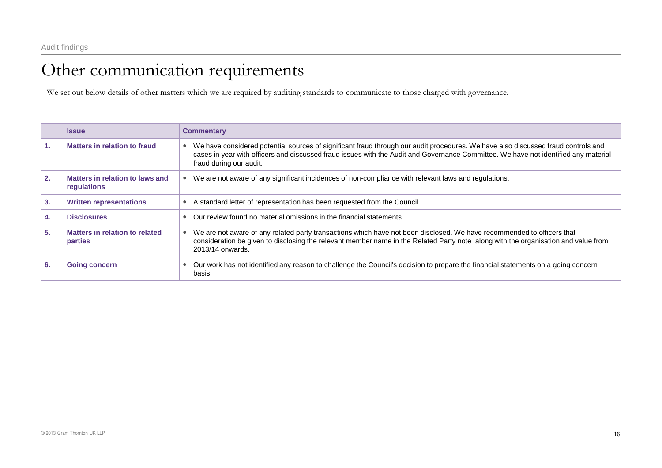# Other communication requirements

We set out below details of other matters which we are required by auditing standards to communicate to those charged with governance.

|    | <b>Issue</b>                                     | <b>Commentary</b>                                                                                                                                                                                                                                                                                   |
|----|--------------------------------------------------|-----------------------------------------------------------------------------------------------------------------------------------------------------------------------------------------------------------------------------------------------------------------------------------------------------|
| 1. | Matters in relation to fraud                     | We have considered potential sources of significant fraud through our audit procedures. We have also discussed fraud controls and<br>cases in year with officers and discussed fraud issues with the Audit and Governance Committee. We have not identified any material<br>fraud during our audit. |
| 2. | Matters in relation to laws and<br>regulations   | We are not aware of any significant incidences of non-compliance with relevant laws and regulations.                                                                                                                                                                                                |
| 3. | <b>Written representations</b>                   | A standard letter of representation has been requested from the Council.                                                                                                                                                                                                                            |
| 4. | <b>Disclosures</b>                               | Our review found no material omissions in the financial statements.                                                                                                                                                                                                                                 |
| 5. | <b>Matters in relation to related</b><br>parties | We are not aware of any related party transactions which have not been disclosed. We have recommended to officers that<br>consideration be given to disclosing the relevant member name in the Related Party note along with the organisation and value from<br>2013/14 onwards.                    |
| 6. | <b>Going concern</b>                             | Our work has not identified any reason to challenge the Council's decision to prepare the financial statements on a going concern<br>basis.                                                                                                                                                         |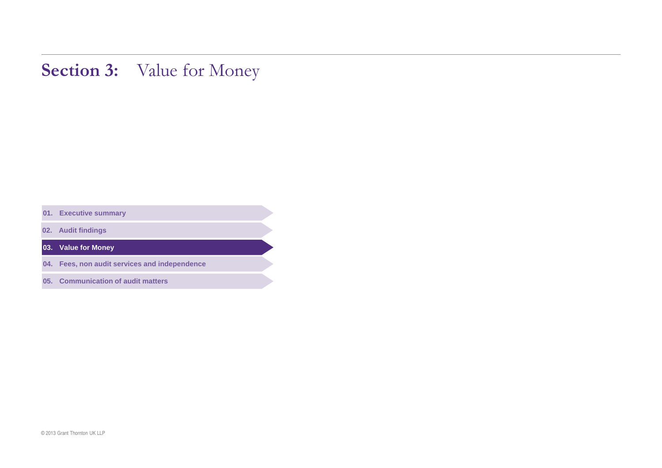# Section 3: Value for Money

**. Executive summary** 

**. Audit findings** 

**. Value for Money** 

**. Fees, non audit services and independence** 

**. Communication of audit matters**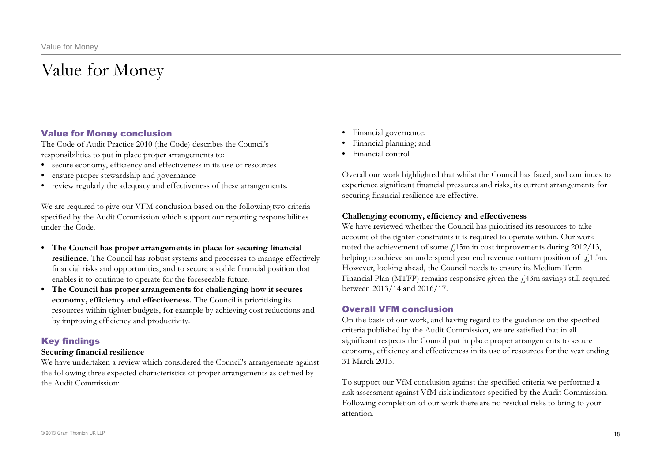# Value for Money

### Value for Money conclusion

The Code of Audit Practice 2010 (the Code) describes the Council's responsibilities to put in place proper arrangements to:

- secure economy, efficiency and effectiveness in its use of resources
- ensure proper stewardship and governance
- • review regularly the adequacy and effectiveness of these arrangements.

We are required to give our VFM conclusion based on the following two criteria specified by the Audit Commission which support our reporting responsibilities under the Code.

- The Council has proper arrangements in place for securing financial **resilience.** The Council has robust systems and processes to manage effectively financial risks and opportunities, and to secure a stable financial position that enables it to continue to operate for the foreseeable future.
- The Council has proper arrangements for challenging how it secures economy, efficiency and effectiveness. The Council is prioritising its resources within tighter budgets, for example by achieving cost reductions and by improving efficiency and productivity.

### Key findings

#### Securing financial resilience

We have undertaken a review which considered the Council's arrangements against the following three expected characteristics of proper arrangements as defined by the Audit Commission:

- • Financial governance;
- • Financial planning; and
- • Financial control

Overall our work highlighted that whilst the Council has faced, and continues to experience significant financial pressures and risks, its current arrangements for securing financial resilience are effective.

### Challenging economy, efficiency and effectiveness

We have reviewed whether the Council has prioritised its resources to take account of the tighter constraints it is required to operate within. Our work noted the achievement of some  $\c L15$ m in cost improvements during 2012/13, helping to achieve an underspend year end revenue outturn position of  $\beta$ 1.5m. However, looking ahead, the Council needs to ensure its Medium Term Financial Plan (MTFP) remains responsive given the  $\rm \mathit{\pm}43m$  savings still required between 2013/14 and 2016/17.

### Overall VFM conclusion

On the basis of our work, and having regard to the guidance on the specified criteria published by the Audit Commission, we are satisfied that in all significant respects the Council put in place proper arrangements to secure economy, efficiency and effectiveness in its use of resources for the year ending 31 March 2013.

To support our VfM conclusion against the specified criteria we performed a risk assessment against VfM risk indicators specified by the Audit Commission. Following completion of our work there are no residual risks to bring to your attention.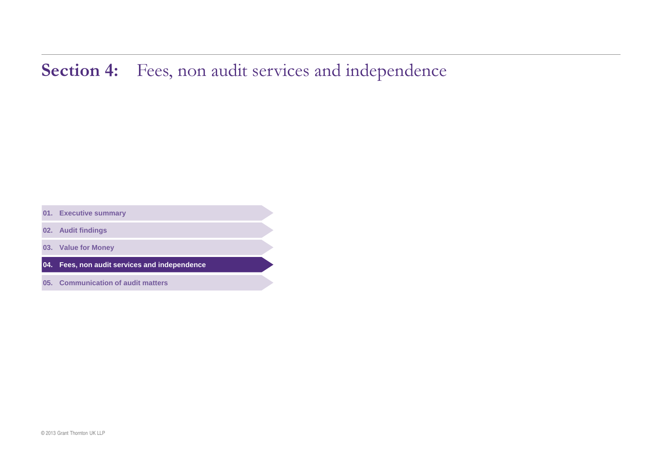# Section 4: Fees, non audit services and independence

**. Executive summary** 

**. Audit findings** 

**. Value for Money** 

**. Fees, non audit services and independence** 

**. Communication of audit matters**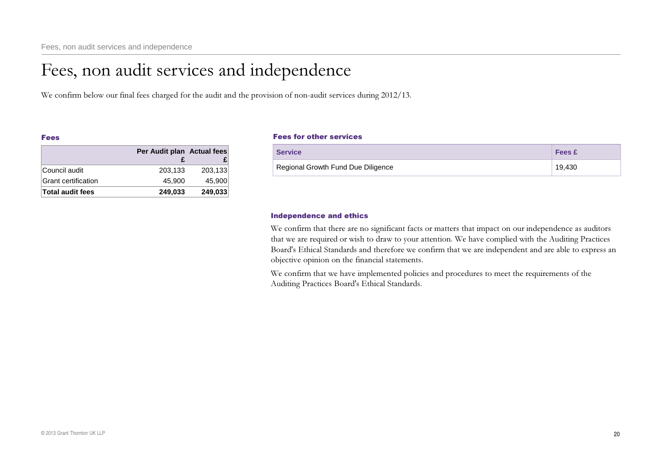# Fees, non audit services and independence

We confirm below our final fees charged for the audit and the provision of non-audit services during 2012/13.

#### Fees

|                     | Per Audit plan Actual fees |         |
|---------------------|----------------------------|---------|
|                     |                            |         |
| Council audit       | 203,133                    | 203,133 |
| Grant certification | 45,900                     | 45.900  |
| Total audit fees    | 249,033                    | 249,033 |

#### Fees for other services

| <b>Service</b>                     | <b>Fees</b> £ |
|------------------------------------|---------------|
| Regional Growth Fund Due Diligence | 19,430        |

#### Independence and ethics

We confirm that there are no significant facts or matters that impact on our independence as auditors that we are required or wish to draw to your attention. We have complied with the Auditing Practices Board's Ethical Standards and therefore we confirm that we are independent and are able to express an objective opinion on the financial statements.

We confirm that we have implemented policies and procedures to meet the requirements of the Auditing Practices Board's Ethical Standards.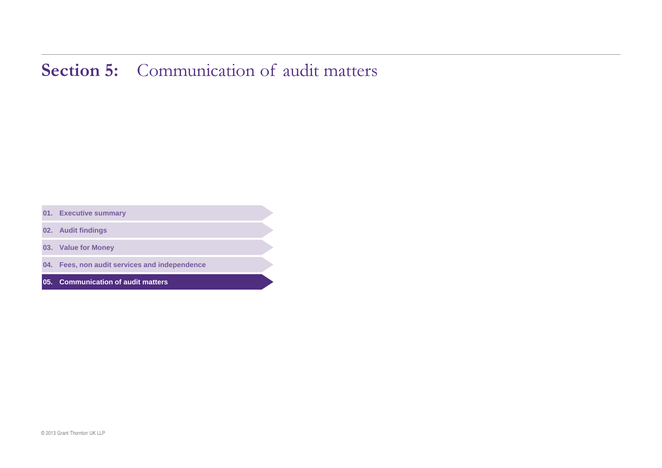# Section 5: Communication of audit matters

**. Executive summary** 

**. Audit findings** 

**. Value for Money** 

**. Fees, non audit services and independence** 

**. Communication of audit matters**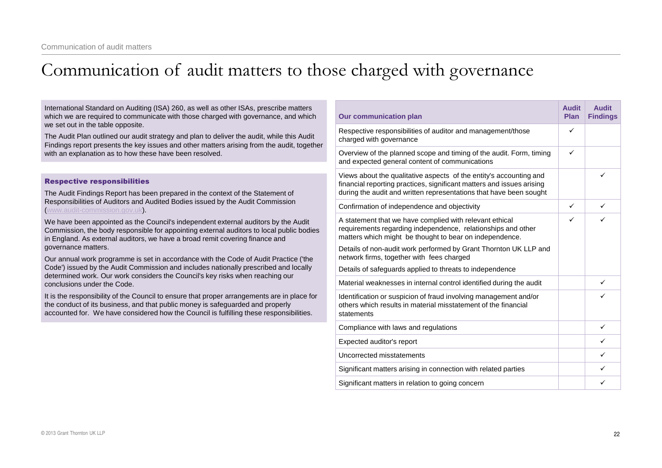# Communication of audit matters to those charged with governance

| International Standard on Auditing (ISA) 260, as well as other ISAs, prescribe matters<br>which we are required to communicate with those charged with governance, and which                                                                                             | <b>Our communication plan</b>                                                                                                                                                      | <b>Audit</b><br>Plan | <b>Audit</b><br><b>Findings</b> |
|--------------------------------------------------------------------------------------------------------------------------------------------------------------------------------------------------------------------------------------------------------------------------|------------------------------------------------------------------------------------------------------------------------------------------------------------------------------------|----------------------|---------------------------------|
| we set out in the table opposite.<br>The Audit Plan outlined our audit strategy and plan to deliver the audit, while this Audit<br>Findings report presents the key issues and other matters arising from the audit, together                                            | Respective responsibilities of auditor and management/those<br>charged with governance                                                                                             | ✓                    |                                 |
| with an explanation as to how these have been resolved.                                                                                                                                                                                                                  | Overview of the planned scope and timing of the audit. Form, timing<br>and expected general content of communications                                                              | ✓                    |                                 |
| <b>Respective responsibilities</b>                                                                                                                                                                                                                                       | Views about the qualitative aspects of the entity's accounting and                                                                                                                 |                      |                                 |
| The Audit Findings Report has been prepared in the context of the Statement of                                                                                                                                                                                           | financial reporting practices, significant matters and issues arising<br>during the audit and written representations that have been sought                                        |                      |                                 |
| Responsibilities of Auditors and Audited Bodies issued by the Audit Commission<br>www.audit-commission.gov.uk).                                                                                                                                                          | Confirmation of independence and objectivity                                                                                                                                       | ✓                    | ✓                               |
| We have been appointed as the Council's independent external auditors by the Audit<br>Commission, the body responsible for appointing external auditors to local public bodies<br>in England. As external auditors, we have a broad remit covering finance and           | A statement that we have complied with relevant ethical<br>requirements regarding independence, relationships and other<br>matters which might be thought to bear on independence. | ✓                    | ✓                               |
| governance matters.                                                                                                                                                                                                                                                      | Details of non-audit work performed by Grant Thornton UK LLP and<br>network firms, together with fees charged                                                                      |                      |                                 |
| Our annual work programme is set in accordance with the Code of Audit Practice ('the<br>Code') issued by the Audit Commission and includes nationally prescribed and locally<br>determined work. Our work considers the Council's key risks when reaching our            | Details of safeguards applied to threats to independence                                                                                                                           |                      |                                 |
| conclusions under the Code.                                                                                                                                                                                                                                              | Material weaknesses in internal control identified during the audit                                                                                                                |                      | ✓                               |
| It is the responsibility of the Council to ensure that proper arrangements are in place for<br>the conduct of its business, and that public money is safeguarded and properly<br>accounted for. We have considered how the Council is fulfilling these responsibilities. | Identification or suspicion of fraud involving management and/or<br>others which results in material misstatement of the financial<br>statements                                   |                      | ✓                               |
|                                                                                                                                                                                                                                                                          | Compliance with laws and regulations                                                                                                                                               |                      | ✓                               |
|                                                                                                                                                                                                                                                                          | Expected auditor's report                                                                                                                                                          |                      | $\checkmark$                    |
|                                                                                                                                                                                                                                                                          | Uncorrected misstatements                                                                                                                                                          |                      | ✓                               |
|                                                                                                                                                                                                                                                                          | Significant matters arising in connection with related parties                                                                                                                     |                      | ✓                               |
|                                                                                                                                                                                                                                                                          | Significant matters in relation to going concern                                                                                                                                   |                      | ✓                               |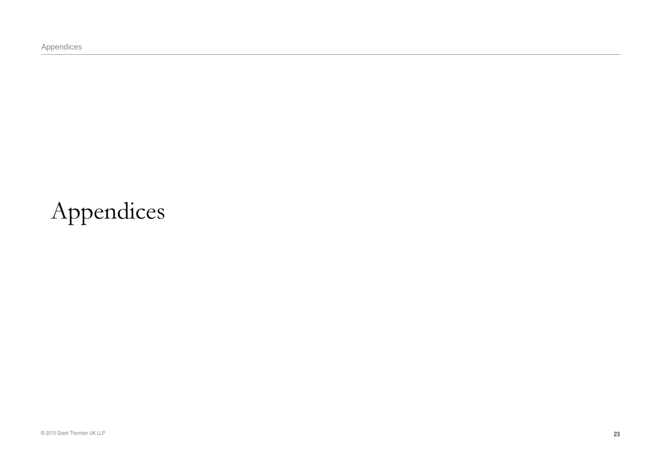Appendices

# Appendices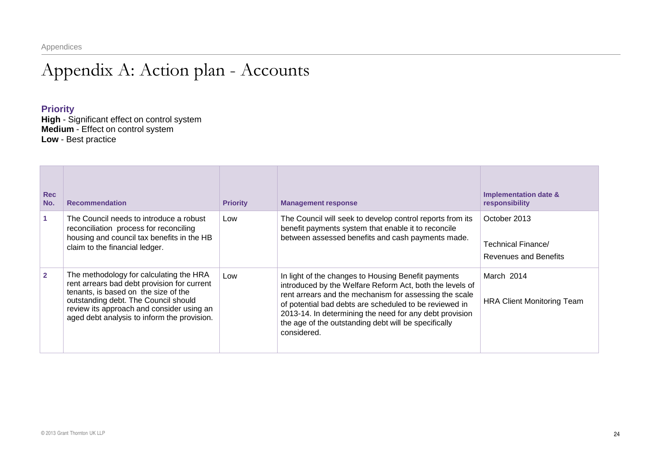# Appendix A: Action plan - Accounts

### **Priority**

| <b>Rec</b><br>No. | <b>Recommendation</b>                                                                                                                                                                                                                                              | <b>Priority</b> | <b>Management response</b>                                                                                                                                                                                                                                                                                                                                            | Implementation date &<br>responsibility                            |
|-------------------|--------------------------------------------------------------------------------------------------------------------------------------------------------------------------------------------------------------------------------------------------------------------|-----------------|-----------------------------------------------------------------------------------------------------------------------------------------------------------------------------------------------------------------------------------------------------------------------------------------------------------------------------------------------------------------------|--------------------------------------------------------------------|
|                   | The Council needs to introduce a robust<br>reconciliation process for reconciling<br>housing and council tax benefits in the HB<br>claim to the financial ledger.                                                                                                  | Low             | The Council will seek to develop control reports from its<br>benefit payments system that enable it to reconcile<br>between assessed benefits and cash payments made.                                                                                                                                                                                                 | October 2013<br>Technical Finance/<br><b>Revenues and Benefits</b> |
| $\overline{2}$    | The methodology for calculating the HRA<br>rent arrears bad debt provision for current<br>tenants, is based on the size of the<br>outstanding debt. The Council should<br>review its approach and consider using an<br>aged debt analysis to inform the provision. | Low             | In light of the changes to Housing Benefit payments<br>introduced by the Welfare Reform Act, both the levels of<br>rent arrears and the mechanism for assessing the scale<br>of potential bad debts are scheduled to be reviewed in<br>2013-14. In determining the need for any debt provision<br>the age of the outstanding debt will be specifically<br>considered. | March 2014<br><b>HRA Client Monitoring Team</b>                    |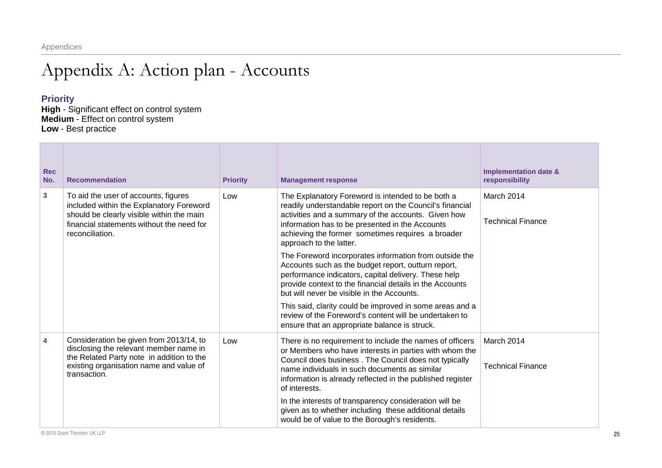# Appendix A: Action plan - Accounts

### **Priority**

| <b>Rec</b><br>No. | <b>Recommendation</b>                                                                                                                                                                         | <b>Priority</b> | <b>Management response</b>                                                                                                                                                                                                                                                                                  | <b>Implementation date &amp;</b><br>responsibility |
|-------------------|-----------------------------------------------------------------------------------------------------------------------------------------------------------------------------------------------|-----------------|-------------------------------------------------------------------------------------------------------------------------------------------------------------------------------------------------------------------------------------------------------------------------------------------------------------|----------------------------------------------------|
| 3                 | To aid the user of accounts, figures<br>included within the Explanatory Foreword<br>should be clearly visible within the main<br>financial statements without the need for<br>reconciliation. | Low             | The Explanatory Foreword is intended to be both a<br>readily understandable report on the Council's financial<br>activities and a summary of the accounts. Given how<br>information has to be presented in the Accounts<br>achieving the former sometimes requires a broader<br>approach to the latter.     | March 2014<br><b>Technical Finance</b>             |
|                   |                                                                                                                                                                                               |                 | The Foreword incorporates information from outside the<br>Accounts such as the budget report, outturn report,<br>performance indicators, capital delivery. These help<br>provide context to the financial details in the Accounts<br>but will never be visible in the Accounts.                             |                                                    |
|                   |                                                                                                                                                                                               |                 | This said, clarity could be improved in some areas and a<br>review of the Foreword's content will be undertaken to<br>ensure that an appropriate balance is struck.                                                                                                                                         |                                                    |
| 4                 | Consideration be given from 2013/14, to<br>disclosing the relevant member name in<br>the Related Party note in addition to the<br>existing organisation name and value of<br>transaction.     | Low             | There is no requirement to include the names of officers<br>or Members who have interests in parties with whom the<br>Council does business. The Council does not typically<br>name individuals in such documents as similar<br>information is already reflected in the published register<br>of interests. | March 2014<br><b>Technical Finance</b>             |
|                   |                                                                                                                                                                                               |                 | In the interests of transparency consideration will be<br>given as to whether including these additional details<br>would be of value to the Borough's residents.                                                                                                                                           |                                                    |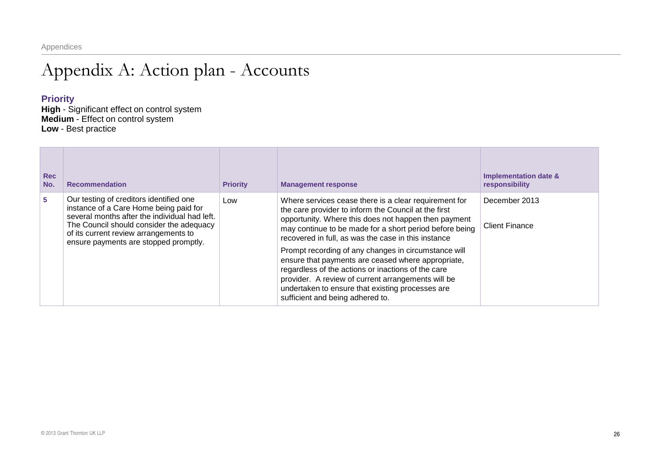# Appendix A: Action plan - Accounts

### **Priority**

| <b>Rec</b><br>No. | <b>Recommendation</b>                                                                                                                                                                                                                                            | <b>Priority</b> | <b>Management response</b>                                                                                                                                                                                                                                                                                     | <b>Implementation date &amp;</b><br>responsibility |
|-------------------|------------------------------------------------------------------------------------------------------------------------------------------------------------------------------------------------------------------------------------------------------------------|-----------------|----------------------------------------------------------------------------------------------------------------------------------------------------------------------------------------------------------------------------------------------------------------------------------------------------------------|----------------------------------------------------|
| 5                 | Our testing of creditors identified one<br>instance of a Care Home being paid for<br>several months after the individual had left.<br>The Council should consider the adequacy<br>of its current review arrangements to<br>ensure payments are stopped promptly. | Low             | Where services cease there is a clear requirement for<br>the care provider to inform the Council at the first<br>opportunity. Where this does not happen then payment<br>may continue to be made for a short period before being<br>recovered in full, as was the case in this instance                        | December 2013<br><b>Client Finance</b>             |
|                   |                                                                                                                                                                                                                                                                  |                 | Prompt recording of any changes in circumstance will<br>ensure that payments are ceased where appropriate,<br>regardless of the actions or inactions of the care<br>provider. A review of current arrangements will be<br>undertaken to ensure that existing processes are<br>sufficient and being adhered to. |                                                    |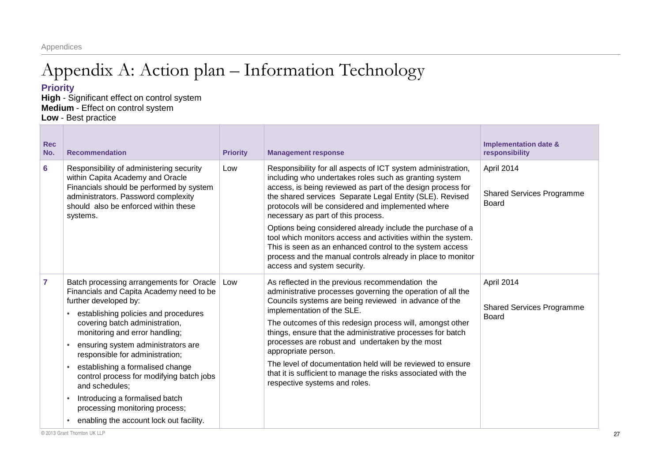Appendices

# Appendix A: Action plan – Information Technology

### **Priority**

| <b>Rec</b><br>No. | <b>Recommendation</b>                                                                                                                                                                                                                                                                                                                                                                                                                                                                                               | <b>Priority</b> | <b>Management response</b>                                                                                                                                                                                                                                                                                                                                                                                                                                                                                                                                                 | <b>Implementation date &amp;</b><br>responsibility      |
|-------------------|---------------------------------------------------------------------------------------------------------------------------------------------------------------------------------------------------------------------------------------------------------------------------------------------------------------------------------------------------------------------------------------------------------------------------------------------------------------------------------------------------------------------|-----------------|----------------------------------------------------------------------------------------------------------------------------------------------------------------------------------------------------------------------------------------------------------------------------------------------------------------------------------------------------------------------------------------------------------------------------------------------------------------------------------------------------------------------------------------------------------------------------|---------------------------------------------------------|
| 6                 | Responsibility of administering security<br>within Capita Academy and Oracle<br>Financials should be performed by system<br>administrators. Password complexity<br>should also be enforced within these<br>systems.                                                                                                                                                                                                                                                                                                 | Low             | Responsibility for all aspects of ICT system administration,<br>including who undertakes roles such as granting system<br>access, is being reviewed as part of the design process for<br>the shared services Separate Legal Entity (SLE). Revised<br>protocols will be considered and implemented where<br>necessary as part of this process.<br>Options being considered already include the purchase of a                                                                                                                                                                | April 2014<br><b>Shared Services Programme</b><br>Board |
|                   |                                                                                                                                                                                                                                                                                                                                                                                                                                                                                                                     |                 | tool which monitors access and activities within the system.<br>This is seen as an enhanced control to the system access<br>process and the manual controls already in place to monitor<br>access and system security.                                                                                                                                                                                                                                                                                                                                                     |                                                         |
| 7                 | Batch processing arrangements for Oracle<br>Financials and Capita Academy need to be<br>further developed by:<br>establishing policies and procedures<br>covering batch administration,<br>monitoring and error handling;<br>ensuring system administrators are<br>responsible for administration;<br>establishing a formalised change<br>control process for modifying batch jobs<br>and schedules;<br>Introducing a formalised batch<br>processing monitoring process;<br>enabling the account lock out facility. | Low             | As reflected in the previous recommendation the<br>administrative processes governing the operation of all the<br>Councils systems are being reviewed in advance of the<br>implementation of the SLE.<br>The outcomes of this redesign process will, amongst other<br>things, ensure that the administrative processes for batch<br>processes are robust and undertaken by the most<br>appropriate person.<br>The level of documentation held will be reviewed to ensure<br>that it is sufficient to manage the risks associated with the<br>respective systems and roles. | April 2014<br><b>Shared Services Programme</b><br>Board |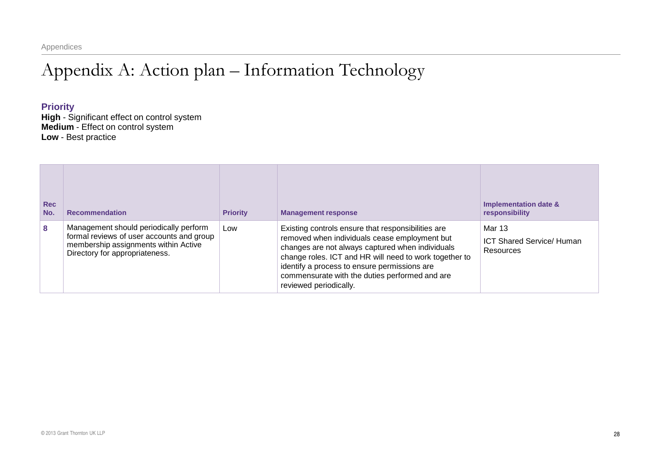Appendices

# Appendix A: Action plan – Information Technology

### **Priority**

| <b>Rec</b><br>No. | <b>Recommendation</b>                                                                                                                                         | <b>Priority</b> | <b>Management response</b>                                                                                                                                                                                                                                                                                                                    | Implementation date &<br>responsibility                 |
|-------------------|---------------------------------------------------------------------------------------------------------------------------------------------------------------|-----------------|-----------------------------------------------------------------------------------------------------------------------------------------------------------------------------------------------------------------------------------------------------------------------------------------------------------------------------------------------|---------------------------------------------------------|
| 8                 | Management should periodically perform<br>formal reviews of user accounts and group<br>membership assignments within Active<br>Directory for appropriateness. | Low             | Existing controls ensure that responsibilities are<br>removed when individuals cease employment but<br>changes are not always captured when individuals<br>change roles. ICT and HR will need to work together to<br>identify a process to ensure permissions are<br>commensurate with the duties performed and are<br>reviewed periodically. | Mar 13<br><b>ICT Shared Service/ Human</b><br>Resources |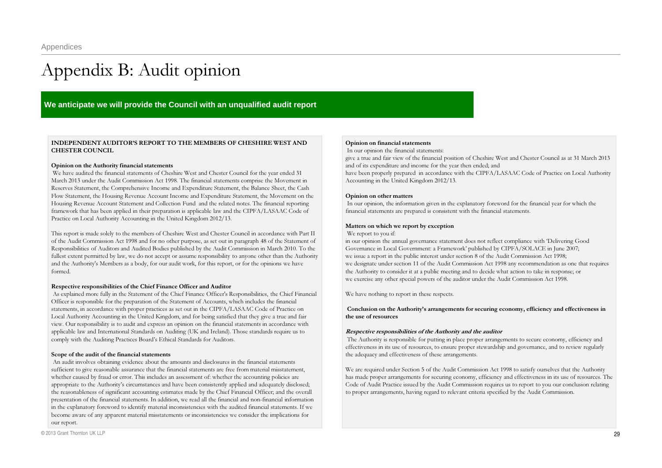# Appendix B: Audit opinion

#### **We anticipate we will provide the Council with an unqualified audit report**

#### INDEPENDENT AUDITOR'S REPORT TO THE MEMBERS OF CHESHIRE WEST ANDCHESTER COUNCIL

#### Opinion on the Authority financial statements

We have audited the financial statements of Cheshire West and Chester Council for the year ended 31 March <sup>2013</sup> under the Audit Commission Act 1998. The financial statements comprise the Movement in Reserves Statement, the Comprehensive Income and Expenditure Statement, the Balance Sheet, the Cash Flow Statement, the Housing Revenue Account Income and Expenditure Statement, the Movement on the Housing Revenue Account Statement and Collection Fund and the related notes. The financial reporting framework that has been applied in their preparation is applicable law and the CIPFA/LASAAC Code of Practice on Local Authority Accounting in the United Kingdom 2012/13.

This repor<sup>t</sup> is made solely to the members of Cheshire West and Chester Council in accordance with Part II of the Audit Commission Act 1998 and for no other purpose, as set out in paragraph 48 of the Statement of Responsibilities of Auditors and Audited Bodies published by the Audit Commission in March 2010. To the fullest extent permitted by law, we do not accep<sup>t</sup> or assume responsibility to anyone other than the Authority and the Authority's Members as <sup>a</sup> body, for our audit work, for this report, or for the opinions we have formed.

#### Respective responsibilities of the Chief Finance Officer and Auditor

As explained more fully in the Statement of the Chief Finance Officer's Responsibilities, the Chief Financial Officer is responsible for the preparation of the Statement of Accounts, which includes the financial statements, in accordance with proper practices as set out in the CIPFA/LASAAC Code of Practice on Local Authority Accounting in the United Kingdom, and for being satisfied that they give a true and fair view. Our responsibility is to audit and express an opinion on the financial statements in accordance with applicable law and International Standards on Auditing (UK and Ireland). Those standards require us to comply with the Auditing Practices Board's Ethical Standards for Auditors.

#### Scope of the audit of the financial statements

An audit involves obtaining evidence about the amounts and disclosures in the financial statements sufficient to give reasonable assurance that the financial statements are free from material misstatement, whether caused by fraud or error. This includes an assessment of: whether the accounting policies are appropriate to the Authority's circumstances and have been consistently applied and adequately disclosed; the reasonableness of significant accounting estimates made by the Chief Financial Officer; and the overall presentation of the financial statements. In addition, we read all the financial and nonfinancial information in the explanatory foreword to identify material inconsistencies with the audited financial statements. If we become aware of any apparen<sup>t</sup> material misstatements or inconsistencies we consider the implications for our report.

#### Opinion on financial statements

In our opinion the financial statements:

give a true and fair view of the financial position of Cheshire West and Chester Council as at 31 March 2013 and of its expenditure and income for the year then ended; and

have been properly prepared in accordance with the CIPFA/LASAAC Code of Practice on Local Authority Accounting in the United Kingdom 2012/13.

#### Opinion on other matters

In our opinion, the information given in the explanatory foreword for the financial year for which the financial statements are prepared is consistent with the financial statements.

#### Matters on which we report by exception

We report to you if:

in our opinion the annual governance statement does not reflect compliance with 'Delivering Good Governance in Local Government: <sup>a</sup> Framework' published by CIPFA/SOLACE in June 2007; we issue a repor<sup>t</sup> in the public interest under section 8 of the Audit Commission Act 1998; we designate under section <sup>11</sup> of the Audit Commission Act 1998 any recommendation as one that requires the Authority to consider it at <sup>a</sup> public meeting and to decide what action to take in response; or we exercise any other special powers of the auditor under the Audit Commission Act 1998.

We have nothing to repor<sup>t</sup> in these respects.

#### Conclusion on the Authority's arrangements for securing economy, efficiency and effectiveness in the use of resources

#### Respective responsibilities of the Authority and the auditor

The Authority is responsible for putting in place proper arrangements to secure economy, efficiency and effectiveness in its use of resources, to ensure proper stewardship and governance, and to review regularly the adequacy and effectiveness of these arrangements.

We are required under Section 5 of the Audit Commission Act 1998 to satisfy ourselves that the Authority has made proper arrangements for securing economy, efficiency and effectiveness in its use of resources. The Code of Audit Practice issued by the Audit Commission requires us to repor<sup>t</sup> to you our conclusion relating to proper arrangements, having regard to relevant criteria specified by the Audit Commission.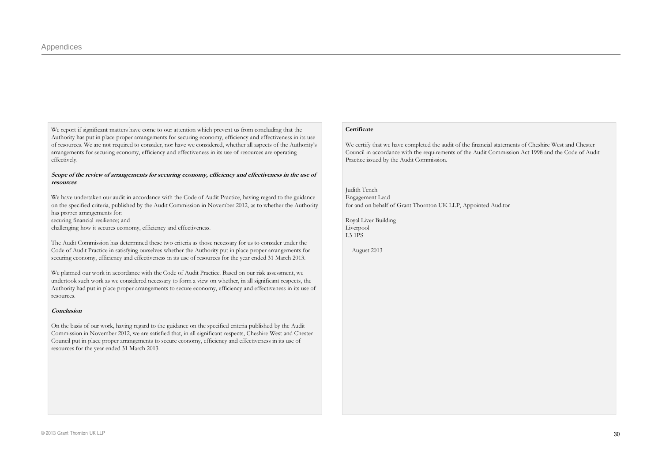We report if significant matters have come to our attention which preven<sup>t</sup> us from concluding that the Authority has pu<sup>t</sup> in place proper arrangements for securing economy, efficiency and effectiveness in its use of resources. We are not required to consider, nor have we considered, whether all aspects of the Authority's arrangements for securing economy, efficiency and effectiveness in its use of resources are operating effectively.

#### Scope of the review of arrangements for securing economy, efficiency and effectiveness in the use of resources

We have undertaken our audit in accordance with the Code of Audit Practice, having regard to the guidance on the specified criteria, published by the Audit Commission in November 2012, as to whether the Authority has proper arrangements for:

securing financial resilience; and

challenging how it secures economy, efficiency and effectiveness.

The Audit Commission has determined these two criteria as those necessary for us to consider under the Code of Audit Practice in satisfying ourselves whether the Authority put in place proper arrangements for securing economy, efficiency and effectiveness in its use of resources for the year ended 31 March 2013.

We planned our work in accordance with the Code of Audit Practice. Based on our risk assessment, we undertook such work as we considered necessary to form <sup>a</sup> view on whether, in all significant respects, the Authority had pu<sup>t</sup> in place proper arrangements to secure economy, efficiency and effectiveness in its use of resources.

#### **Conclusion**

On the basis of our work, having regard to the guidance on the specified criteria published by the Audit Commission in November 2012, we are satisfied that, in all significant respects, Cheshire West and Chester Council pu<sup>t</sup> in place proper arrangements to secure economy, efficiency and effectiveness in its use of resources for the year ended 31 March 2013.

#### **Certificate**

We certify that we have completed the audit of the financial statements of Cheshire West and Chester Council in accordance with the requirements of the Audit Commission Act 1998 and the Code of Audit Practice issued by the Audit Commission.

Judith Tench Engagement Lead for and on behalf of Grant Thornton UK LLP, Appointed Auditor

Royal Liver Building Liverpool L3 1PS

August 2013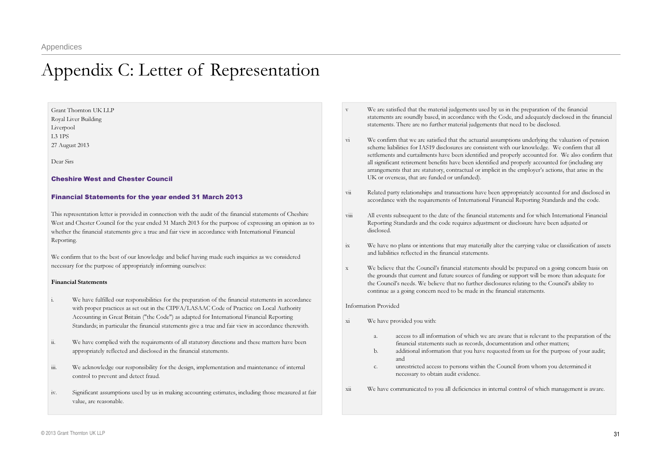# Appendix C: Letter of Representation

Grant Thornton UK LLP Royal Liver Building Liverpool L3 1PS27 August 2013

Dear Sirs

#### Cheshire West and Chester Council

#### Financial Statements for the year ended 31 March 2013

This representation letter is provided in connection with the audit of the financial statements of Cheshire West and Chester Council for the year ended 31 March 2013 for the purpose of expressing an opinion as to whether the financial statements give a true and fair view in accordance with International Financial Reporting.

We confirm that to the best of our knowledge and belief having made such inquiries as we considered necessary for the purpose of appropriately informing ourselves:

#### Financial Statements

- i. We have fulfilled our responsibilities for the preparation of the financial statements in accordance with proper practices as set out in the CIPFA/LASAAC Code of Practice on Local Authority Accounting in Great Britain ("the Code") as adapted for International Financial Reporting Standards; in particular the financial statements give a true and fair view in accordance therewith.
- ii. We have complied with the requirements of all statutory directions and these matters have been appropriately reflected and disclosed in the financial statements.
- iii. We acknowledge our responsibility for the design, implementation and maintenance of internal control to preven<sup>t</sup> and detect fraud.
- iv. Significant assumptions used by us in making accounting estimates, including those measured at fair value, are reasonable.
- v We are satisfied that the material judgements used by us in the preparation of the financial statements are soundly based, in accordance with the Code, and adequately disclosed in the financial statements. There are no further material judgements that need to be disclosed.
- vi We confirm that we are satisfied that the actuarial assumptions underlying the valuation of pension scheme liabilities for IAS19 disclosures are consistent with our knowledge. We confirm that all settlements and curtailments have been identified and properly accounted for. We also confirm that all significant retirement benefits have been identified and properly accounted for (including any arrangements that are statutory, contractual or implicit in the employer's actions, that arise in the UK or overseas, that are funded or unfunded).
- vii Related party relationships and transactions have been appropriately accounted for and disclosed in accordance with the requirements of International Financial Reporting Standards and the code.
- viii All events subsequent to the date of the financial statements and for which International Financial Reporting Standards and the code requires adjustment or disclosure have been adjusted or disclosed.
- ix We have no plans or intentions that may materially alter the carrying value or classification of assets and liabilities reflected in the financial statements.
- x We believe that the Council's financial statements should be prepared on <sup>a</sup> going concern basis on the grounds that current and future sources of funding or suppor<sup>t</sup> will be more than adequate for the Council's needs. We believe that no further disclosures relating to the Council's ability to continue as a going concern need to be made in the financial statements.

#### Information Provided

- xi We have provided you with:
	- a. access to all information of which we are aware that is relevant to the preparation of the financial statements such as records, documentation and other matters;
	- b. additional information that you have requested from us for the purpose of your audit; and
	- c. unrestricted access to persons within the Council from whom you determined it necessary to obtain audit evidence.
- xiiWe have communicated to you all deficiencies in internal control of which managemen<sup>t</sup> is aware.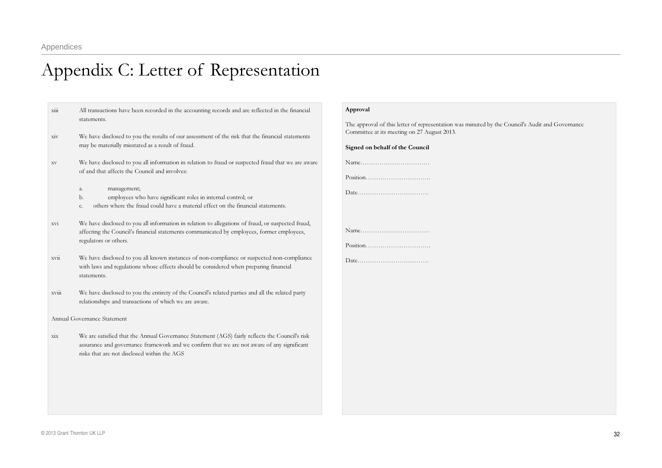# Appendix C: Letter of Representation

 $\overline{x}$ <sup>iii</sup> All transactions have been recorded in the accounting records and are reflected in the financial statements.xiv We have disclosed to you the results of our assessment of the risk that the financial statements may be materially misstated as <sup>a</sup> result of fraud. xv We have disclosed to you all information in relation to fraud or suspected fraud that we are aware of and that affects the Council and involves: a. management; b. employees who have significant roles in internal control; or c. others where the fraud could have a material effect on the financial statements. xvi We have disclosed to you all information in relation to allegations of fraud, or suspected fraud, affecting the Council's financial statements communicated by employees, former employees, regulators or others. xvii We have disclosed to you all known instances of noncompliance or suspected noncompliance with laws and regulations whose effects should be considered when preparing financial statements.xviii We have disclosed to you the entirety of the Council's related parties and all the related party relationships and transactions of which we are aware. Annual Governance Statementxix We are satisfied that the Annual Governance Statement (AGS) fairly reflects the Council's risk assurance and governance framework and we confirm that we are not aware of any significant risks that are not disclosed within the AGS

#### Approval

The approval of this letter of representation was minuted by the Council's Audit and Governance Committee at its meeting on 27 August 2013.

Signed on behalf of the Council

Name……………………………Position………………………….

Date…………………………….

Name……………………………

Position………………………….

Date…………………………….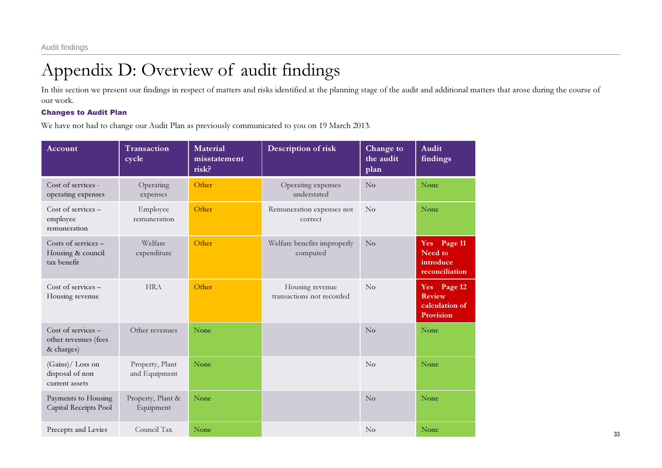# Appendix D: Overview of audit findings

In this section we present our findings in respect of matters and risks identified at the planning stage of the audit and additional matters that arose during the course of our work.

### Changes to Audit Plan

We have not had to change our Audit Plan as previously communicated to you on 19 March 2013.

| Account                                                  | Transaction<br>cycle             | <b>Material</b><br>misstatement<br>risk? | Description of risk                          | Change to<br>the audit<br>plan | Audit<br>findings                                           |
|----------------------------------------------------------|----------------------------------|------------------------------------------|----------------------------------------------|--------------------------------|-------------------------------------------------------------|
| Cost of services -<br>operating expenses                 | Operating<br>expenses            | Other                                    | Operating expenses<br>understated            | $\rm No$                       | None                                                        |
| Cost of services -<br>employee<br>remuneration           | Employee<br>remuneration         | Other                                    | Remuneration expenses not<br>correct         | $\rm No$                       | None                                                        |
| Costs of services -<br>Housing & council<br>tax benefit  | Welfare<br>expenditure           | Other                                    | Welfare benefits improperly<br>computed      | <b>No</b>                      | Yes Page 11<br>Need to<br>introduce<br>reconciliation       |
| Cost of services -<br>Housing revenue                    | <b>HRA</b>                       | Other                                    | Housing revenue<br>transactions not recorded | $\rm No$                       | Yes Page 12<br><b>Review</b><br>calculation of<br>Provision |
| Cost of services -<br>other revenues (fees<br>& charges) | Other revenues                   | None                                     |                                              | $\rm No$                       | None                                                        |
| (Gains)/ Loss on<br>disposal of non<br>current assets    | Property, Plant<br>and Equipment | None                                     |                                              | $\overline{N}_{0}$             | None                                                        |
| Payments to Housing<br>Capital Receipts Pool             | Property, Plant &<br>Equipment   | None                                     |                                              | No                             | None                                                        |
| Precepts and Levies                                      | Council Tax                      | None                                     |                                              | $\rm No$                       | None                                                        |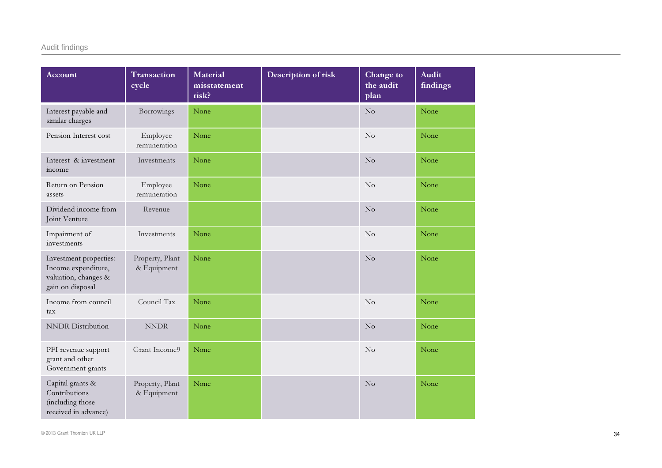| Account                                                                                   | Transaction<br>cycle           | <b>Material</b><br>misstatement<br>risk? | Description of risk | Change to<br>the audit<br>plan | <b>Audit</b><br>findings |
|-------------------------------------------------------------------------------------------|--------------------------------|------------------------------------------|---------------------|--------------------------------|--------------------------|
| Interest payable and<br>similar charges                                                   | Borrowings                     | None                                     |                     | $\overline{\text{No}}$         | None                     |
| Pension Interest cost                                                                     | Employee<br>remuneration       | None                                     |                     | $\rm No$                       | None                     |
| Interest & investment<br>income                                                           | Investments                    | None                                     |                     | $\rm No$                       | None                     |
| Return on Pension<br>assets                                                               | Employee<br>remuneration       | None                                     |                     | No                             | None                     |
| Dividend income from<br>Joint Venture                                                     | Revenue                        |                                          |                     | No                             | None                     |
| Impairment of<br>investments                                                              | Investments                    | None                                     |                     | No                             | None                     |
| Investment properties:<br>Income expenditure,<br>valuation, changes &<br>gain on disposal | Property, Plant<br>& Equipment | None                                     |                     | No                             | None                     |
| Income from council<br>tax                                                                | Council Tax                    | None                                     |                     | No                             | None                     |
| <b>NNDR</b> Distribution                                                                  | <b>NNDR</b>                    | None                                     |                     | No                             | None                     |
| PFI revenue support<br>grant and other<br>Government grants                               | Grant Income9                  | None                                     |                     | No                             | None                     |
| Capital grants &<br>Contributions<br>(including those<br>received in advance)             | Property, Plant<br>& Equipment | None                                     |                     | No                             | None                     |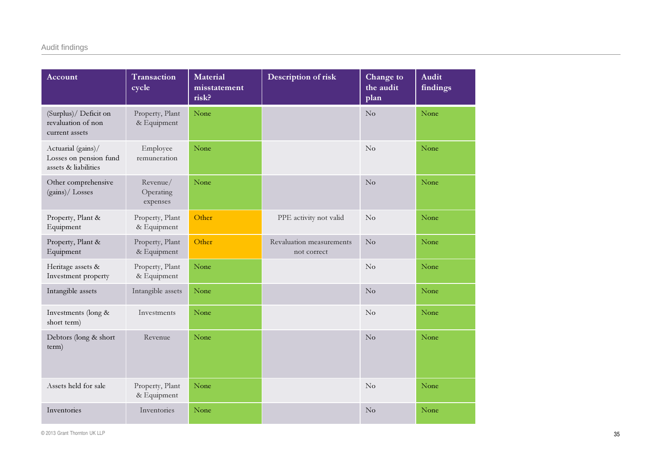| Account                                                              | Transaction<br>cycle              | <b>Material</b><br>misstatement<br>risk? | Description of risk                     | Change to<br>the audit<br>plan | <b>Audit</b><br>findings |
|----------------------------------------------------------------------|-----------------------------------|------------------------------------------|-----------------------------------------|--------------------------------|--------------------------|
| (Surplus)/ Deficit on<br>revaluation of non<br>current assets        | Property, Plant<br>& Equipment    | None                                     |                                         | No                             | None                     |
| Actuarial (gains)/<br>Losses on pension fund<br>assets & liabilities | Employee<br>remuneration          | None                                     |                                         | $\rm No$                       | None                     |
| Other comprehensive<br>(gains)/ Losses                               | Revenue/<br>Operating<br>expenses | None                                     |                                         | No                             | None                     |
| Property, Plant &<br>Equipment                                       | Property, Plant<br>& Equipment    | Other                                    | PPE activity not valid                  | $\rm No$                       | None                     |
| Property, Plant &<br>Equipment                                       | Property, Plant<br>& Equipment    | Other                                    | Revaluation measurements<br>not correct | $\rm No$                       | None                     |
| Heritage assets &<br>Investment property                             | Property, Plant<br>& Equipment    | None                                     |                                         | $\rm No$                       | None                     |
| Intangible assets                                                    | Intangible assets                 | None                                     |                                         | No                             | None                     |
| Investments (long &<br>short term)                                   | Investments                       | None                                     |                                         | $\rm No$                       | None                     |
| Debtors (long & short<br>term)                                       | Revenue                           | None                                     |                                         | No                             | None                     |
| Assets held for sale                                                 | Property, Plant<br>& Equipment    | None                                     |                                         | $\rm No$                       | None                     |
| Inventories                                                          | Inventories                       | None                                     |                                         | No                             | None                     |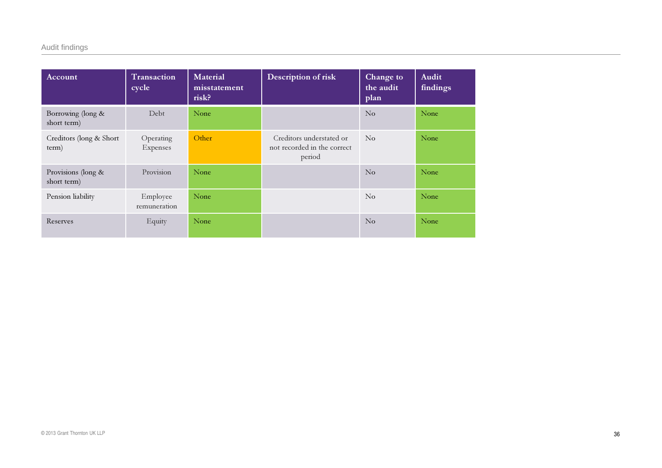### Audit findings

| Account                           | Transaction<br>cycle     | Material<br>misstatement<br>risk? | Description of risk                                               | Change to<br>the audit<br>plan | Audit<br>findings |
|-----------------------------------|--------------------------|-----------------------------------|-------------------------------------------------------------------|--------------------------------|-------------------|
| Borrowing (long &<br>short term)  | Debt                     | None                              |                                                                   | N <sub>o</sub>                 | None              |
| Creditors (long & Short)<br>term) | Operating<br>Expenses    | Other                             | Creditors understated or<br>not recorded in the correct<br>period | $\overline{N}_{0}$             | None              |
| Provisions (long &<br>short term) | Provision                | None                              |                                                                   | $\overline{N}_{0}$             | None              |
| Pension liability                 | Employee<br>remuneration | None                              |                                                                   | $\overline{N}_{0}$             | None              |
| Reserves                          | Equity                   | None                              |                                                                   | $\overline{N}_{0}$             | None              |